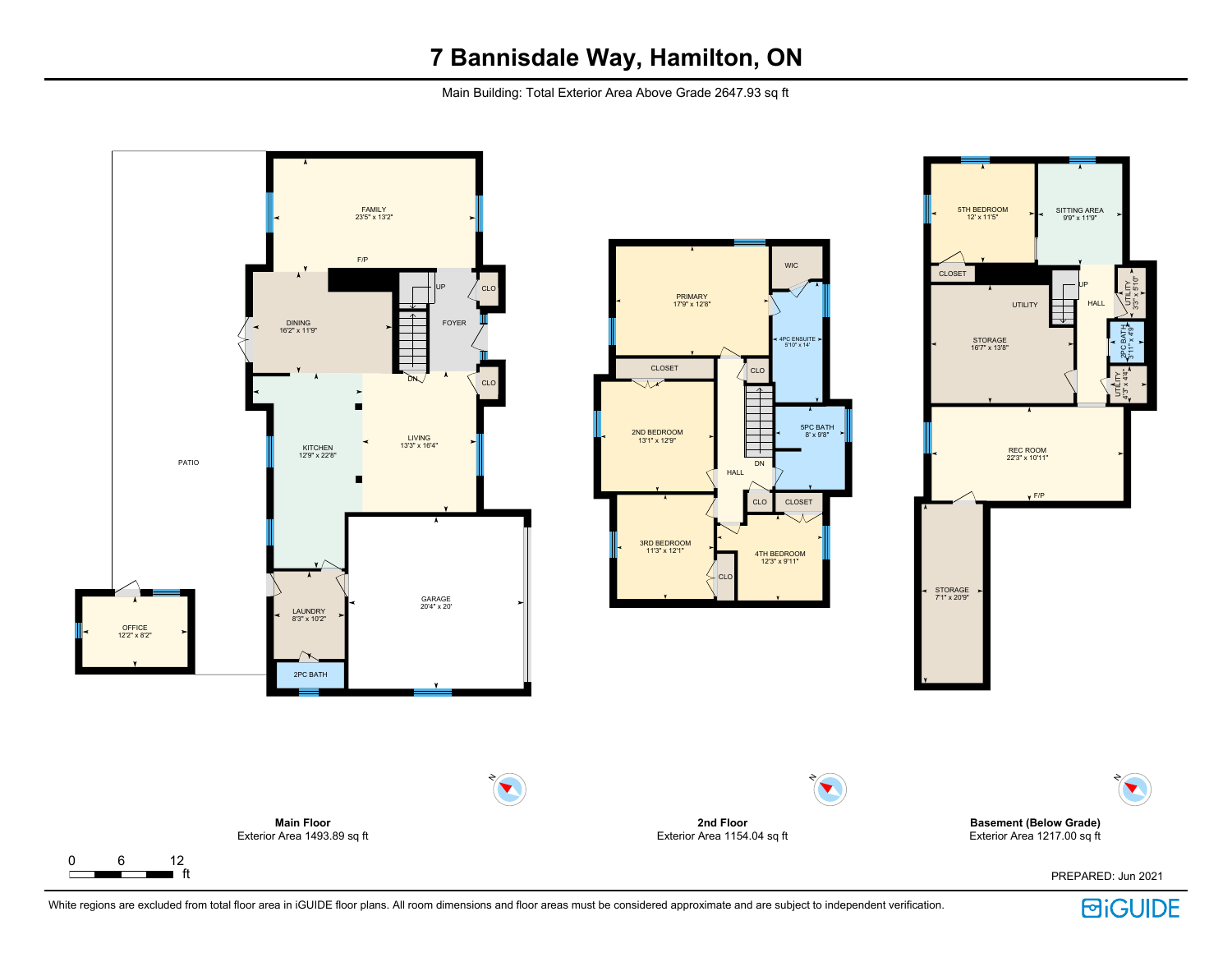Main Building: Total Exterior Area Above Grade 2647.93 sq ft



White regions are excluded from total floor area in iGUIDE floor plans. All room dimensions and floor areas must be considered approximate and are subject to independent verification.

**BiGUIDE**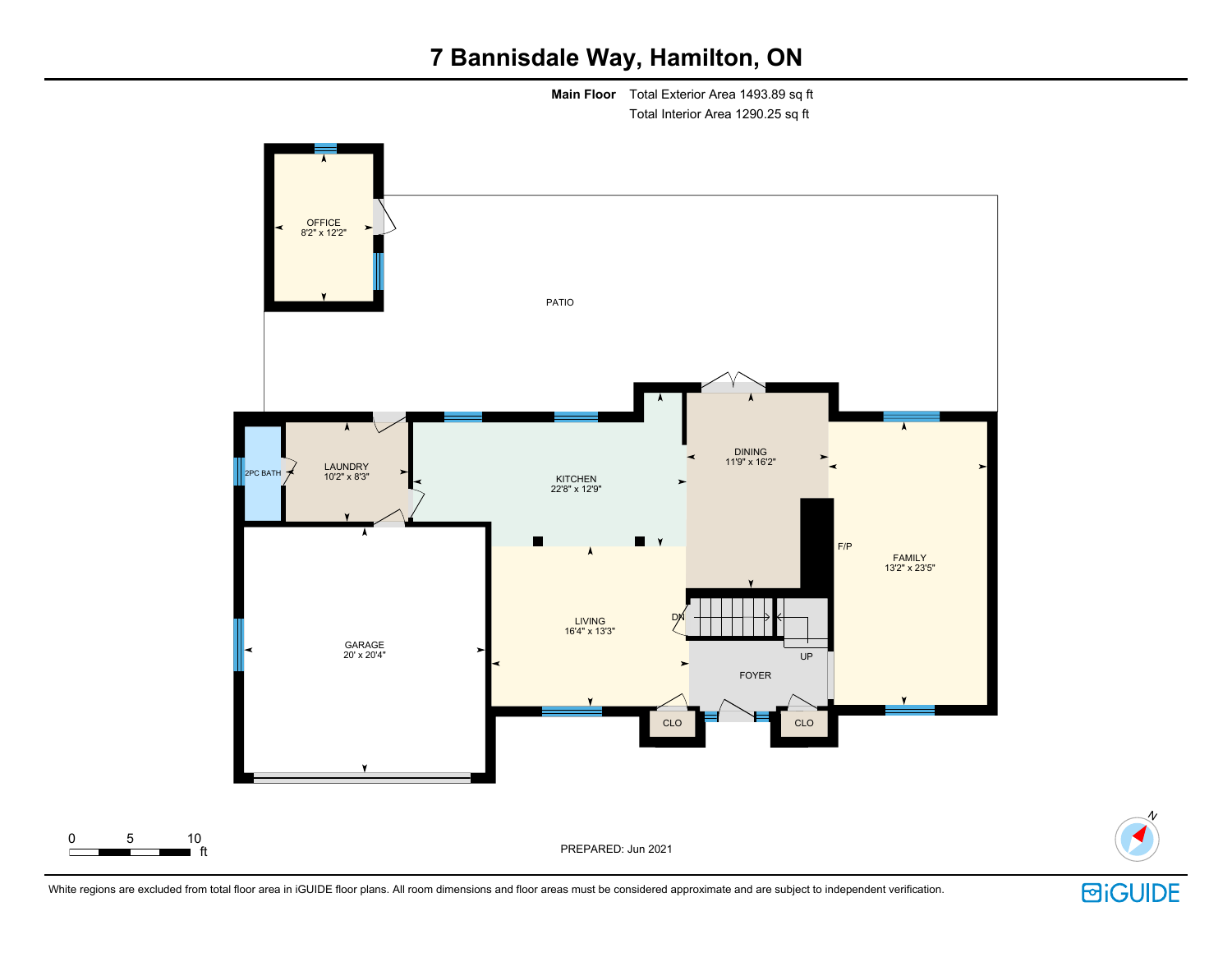**Main Floor** Total Exterior Area 1493.89 sq ft Total Interior Area 1290.25 sq ft





N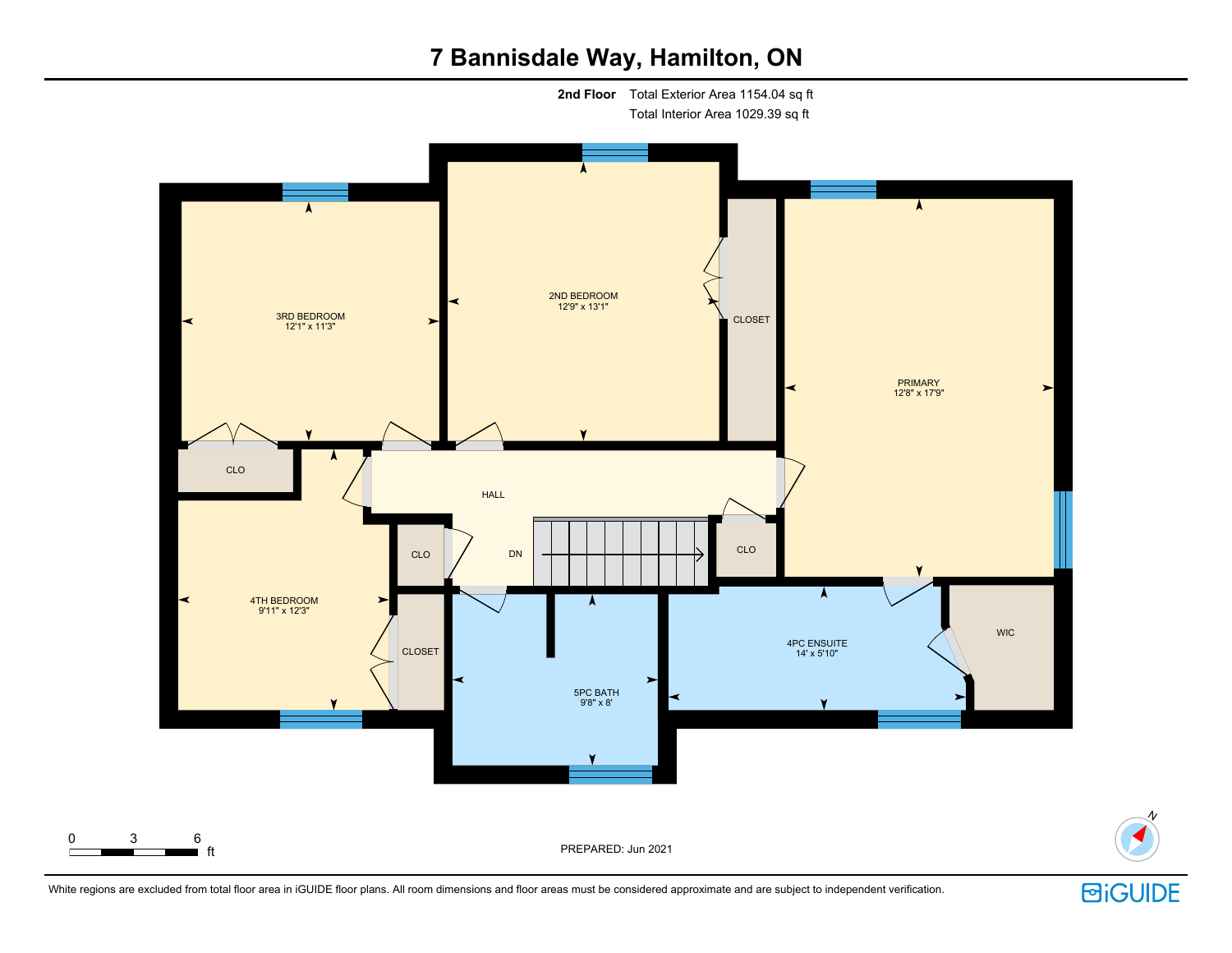

White regions are excluded from total floor area in iGUIDE floor plans. All room dimensions and floor areas must be considered approximate and are subject to independent verification.

**回iGUIDE** 

N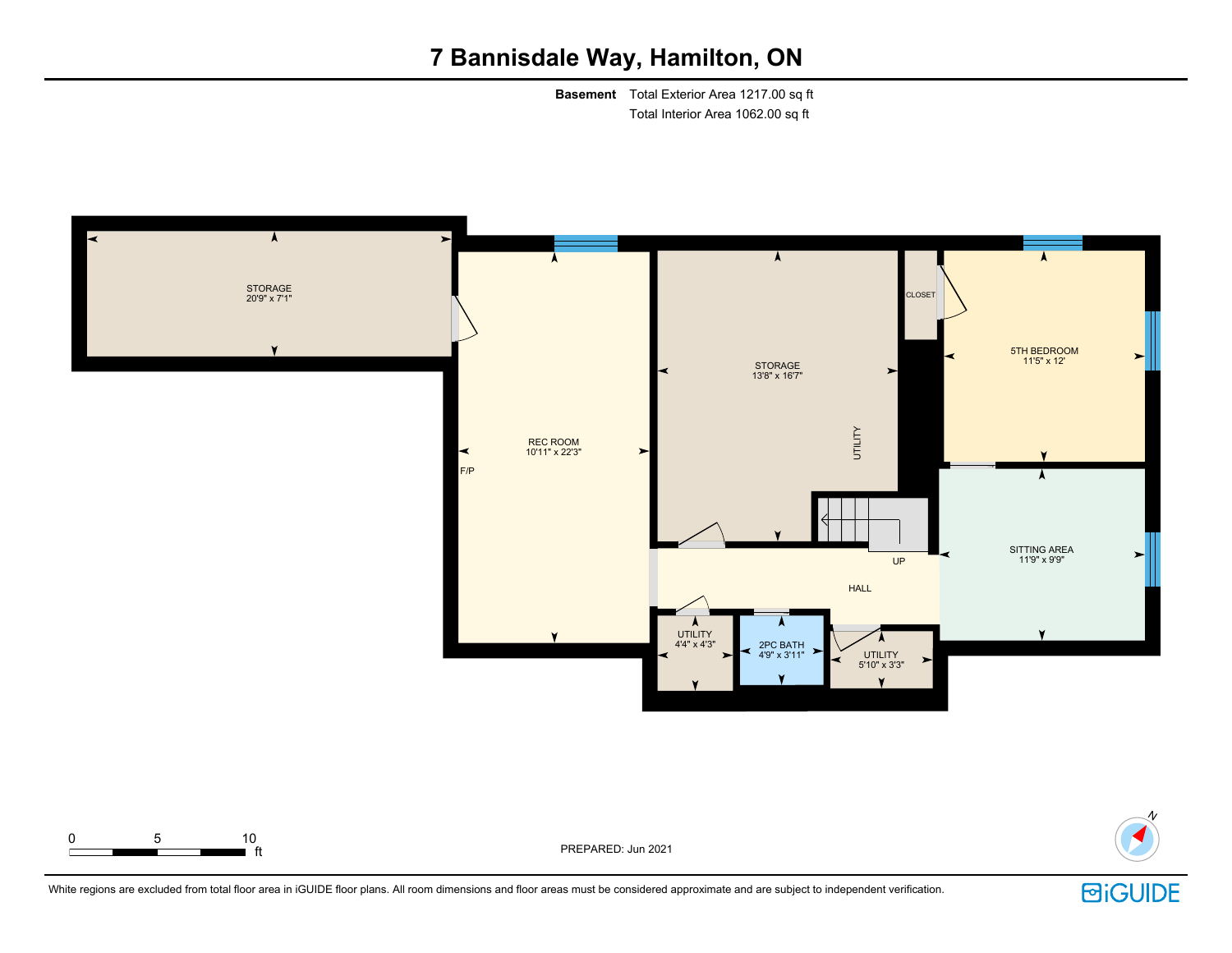**Basement** Total Exterior Area 1217.00 sq ft Total Interior Area 1062.00 sq ft





ft PREPARED: Jun 2021



N

White regions are excluded from total floor area in iGUIDE floor plans. All room dimensions and floor areas must be considered approximate and are subject to independent verification.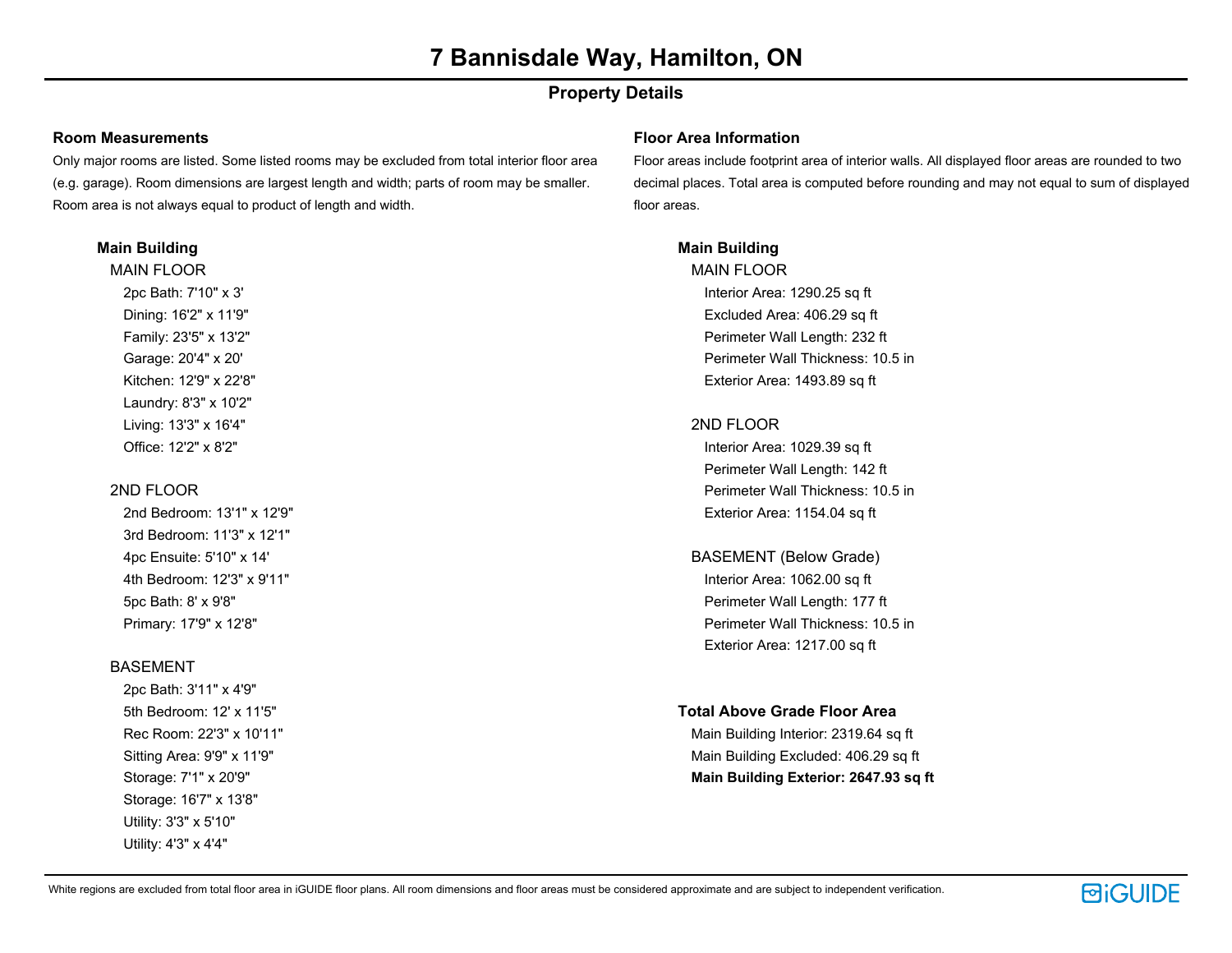## **Property Details**

#### **Room Measurements**

Only major rooms are listed. Some listed rooms may be excluded from total interior floor area (e.g. garage). Room dimensions are largest length and width; parts of room may be smaller. Room area is not always equal to product of length and width.

#### **Main Building**

MAIN FLOOR 2pc Bath: 7'10" x 3' Dining: 16'2" x 11'9" Family: 23'5" x 13'2" Garage: 20'4" x 20' Kitchen: 12'9" x 22'8" Laundry: 8'3" x 10'2" Living: 13'3" x 16'4" Office: 12'2" x 8'2"

### 2ND FLOOR

2nd Bedroom: 13'1" x 12'9" 3rd Bedroom: 11'3" x 12'1" 4pc Ensuite: 5'10" x 14' 4th Bedroom: 12'3" x 9'11" 5pc Bath: 8' x 9'8" Primary: 17'9" x 12'8"

#### **BASEMENT**

2pc Bath: 3'11" x 4'9" 5th Bedroom: 12' x 11'5" Rec Room: 22'3" x 10'11" Sitting Area: 9'9" x 11'9" Storage: 7'1" x 20'9" Storage: 16'7" x 13'8" Utility: 3'3" x 5'10" Utility: 4'3" x 4'4"

#### **Floor Area Information**

Floor areas include footprint area of interior walls. All displayed floor areas are rounded to two decimal places. Total area is computed before rounding and may not equal to sum of displayed floor areas.

### **Main Building**

MAIN FLOOR Interior Area: 1290.25 sq ft Excluded Area: 406.29 sq ft Perimeter Wall Length: 232 ft Perimeter Wall Thickness: 10.5 in Exterior Area: 1493.89 sq ft

### 2ND FLOOR

Interior Area: 1029.39 sq ft Perimeter Wall Length: 142 ft Perimeter Wall Thickness: 10.5 in Exterior Area: 1154.04 sq ft

BASEMENT (Below Grade) Interior Area: 1062.00 sq ft Perimeter Wall Length: 177 ft Perimeter Wall Thickness: 10.5 in Exterior Area: 1217.00 sq ft

#### **Total Above Grade Floor Area**

Main Building Interior: 2319.64 sq ft Main Building Excluded: 406.29 sq ft **Main Building Exterior: 2647.93 sq ft**